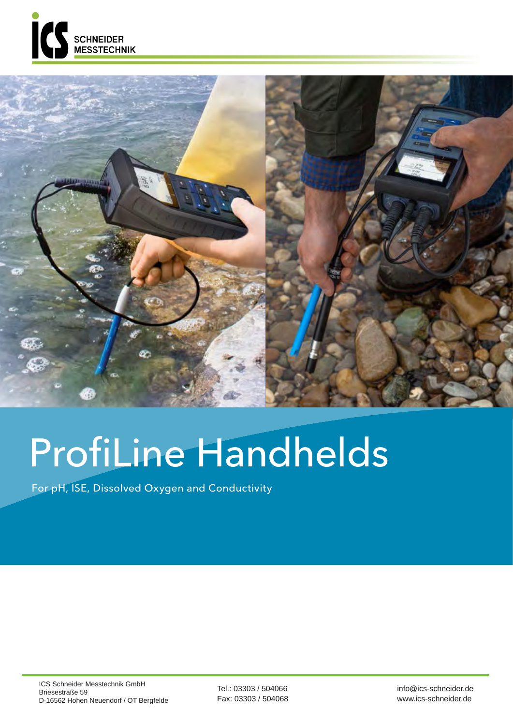



## ProfiLine Handhelds

For pH, ISE, Dissolved Oxygen and Conductivity

Tel.: 03303 / 504066 Fax: 03303 / 504068 info@ics-schneider.de www.ics-schneider.de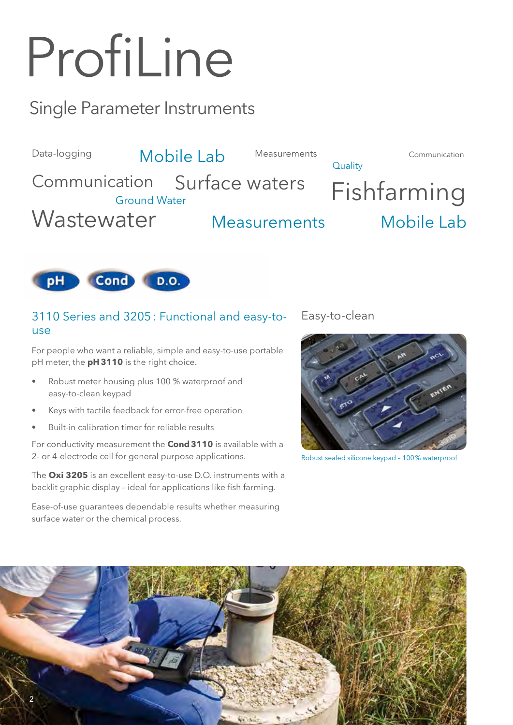# ProfiLine

### Single Parameter Instruments





#### 3110 Series and 3205: Functional and easy-touse

For people who want a reliable, simple and easy-to-use portable pH meter, the **pH3110** is the right choice.

- Robust meter housing plus 100 % waterproof and easy-to-clean keypad
- Keys with tactile feedback for error-free operation
- Built-in calibration timer for reliable results

For conductivity measurement the **Cond3110** is available with a 2- or 4-electrode cell for general purpose applications.

The **Oxi 3205** is an excellent easy-to-use D.O. instruments with a backlit graphic display – ideal for applications like fish farming.

Ease-of-use guarantees dependable results whether measuring surface water or the chemical process.

Easy-to-clean



Robust sealed silicone keypad – 100% waterproof

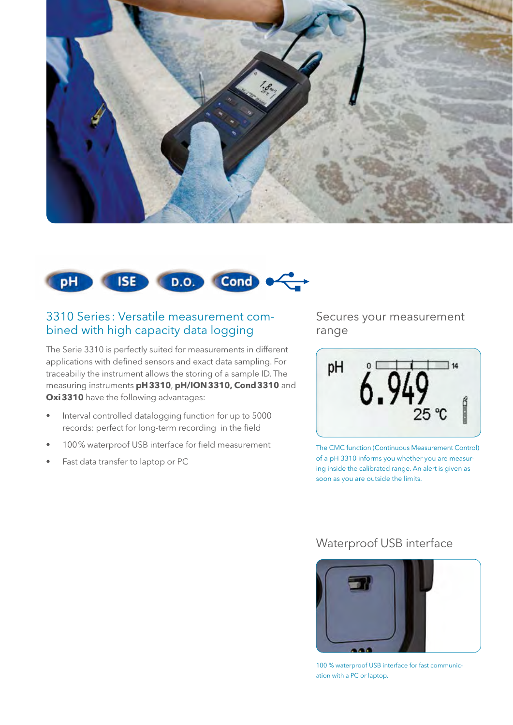



#### 3310 Series : Versatile measurement combined with high capacity data logging

The Serie 3310 is perfectly suited for measurements in different applications with defined sensors and exact data sampling. For traceabiliy the instrument allows the storing of a sample ID. The measuring instruments **pH3310**, **pH/ION3310, Cond3310** and **Oxi3310** have the following advantages:

- Interval controlled datalogging function for up to 5000 records: perfect for long-term recording in the field
- 100% waterproof USB interface for field measurement
- Fast data transfer to laptop or PC

Secures your measurement range



The CMC function (Continuous Measurement Control) of a pH 3310 informs you whether you are measuring inside the calibrated range. An alert is given as soon as you are outside the limits.

#### Waterproof USB interface



100 % waterproof USB interface for fast communication with a PC or laptop.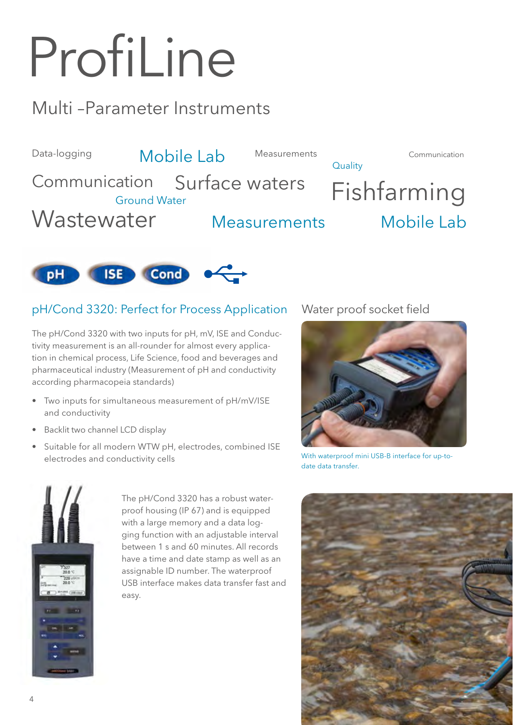# ProfiLine

### Multi –Parameter Instruments

Data-logging Cation Surface waters Fishfarming **Quality Wastewater** Communication Communication Surface waters Measurements Measurements Mobile Lab Mobile Lab



#### pH/Cond 3320: Perfect for Process Application Water proof socket field

The pH/Cond 3320 with two inputs for pH, mV, ISE and Conductivity measurement is an all-rounder for almost every application in chemical process, Life Science, food and beverages and pharmaceutical industry (Measurement of pH and conductivity according pharmacopeia standards)

- Two inputs for simultaneous measurement of pH/mV/ISE and conductivity
- Backlit two channel LCD display
- Suitable for all modern WTW pH, electrodes, combined ISE electrodes and conductivity cells



The pH/Cond 3320 has a robust waterproof housing (IP 67) and is equipped with a large memory and a data logging function with an adjustable interval between 1 s and 60 minutes. All records have a time and date stamp as well as an assignable ID number. The waterproof USB interface makes data transfer fast and easy.



With waterproof mini USB-B interface for up-todate data transfer.

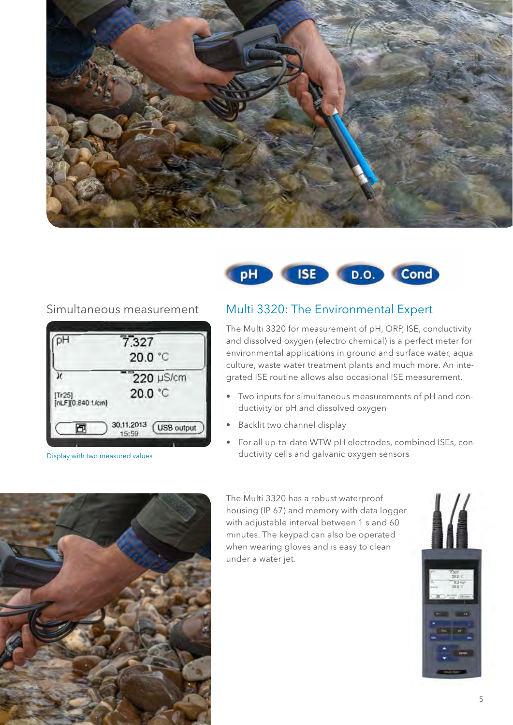





Display with two measured values

#### Simultaneous measurement Multi 3320: The Environmental Expert

The Multi 3320 for measurement of pH, ORP, ISE, conductivity and dissolved oxygen (electro chemical) is a perfect meter for environmental applications in ground and surface water, aqua culture, waste water treatment plants and much more. An integrated ISE routine allows also occasional ISE measurement.

- Two inputs for simultaneous measurements of pH and conductivity or pH and dissolved oxygen
- Backlit two channel display
- For all up-to-date WTW pH electrodes, combined ISEs, conductivity cells and galvanic oxygen sensors



The Multi 3320 has a robust waterproof housing (IP 67) and memory with data logger with adjustable interval between 1 s and 60 minutes. The keypad can also be operated when wearing gloves and is easy to clean under a water jet.

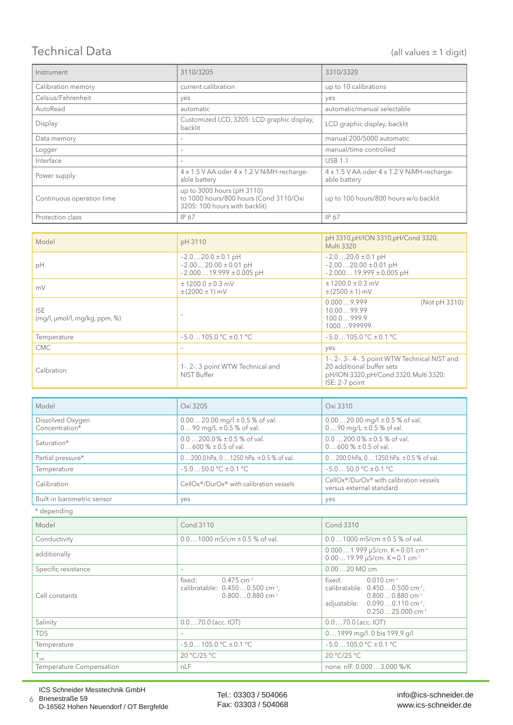#### Technical Data (all values ±1 digit)

| Instrument                | 3110/3205                                                                                             | 3310/3320                                                  |  |
|---------------------------|-------------------------------------------------------------------------------------------------------|------------------------------------------------------------|--|
| Calibration memory        | current calibration                                                                                   | up to 10 calibrations                                      |  |
| Celsius/Fahrenheit        | yes                                                                                                   | yes                                                        |  |
| AutoRead                  | automatic                                                                                             | automatic/manual selectable                                |  |
| Display                   | Customized LCD, 3205: LCD graphic display,<br>backlit                                                 | LCD graphic display, backlit                               |  |
| Data memory               |                                                                                                       | manual 200/5000 automatic                                  |  |
| Logger                    | $\overline{\phantom{a}}$                                                                              | manual/time controlled                                     |  |
| Interface                 |                                                                                                       | <b>USB 1.1</b>                                             |  |
| Power supply              | 4 x 1.5 V AA oder 4 x 1.2 V NiMH-recharge-<br>able battery                                            | 4 x 1.5 V AA oder 4 x 1.2 V NiMH-recharge-<br>able battery |  |
| Continuous operation time | up to 3000 hours (pH 3110)<br>to 1000 hours/800 hours (Cond 3110/Oxi<br>3205: 100 hours with backlit) | up to 100 hours/800 hours w/o backlit                      |  |
| Protection class          | IP 67                                                                                                 | IP 67                                                      |  |

| Model                                           | pH 3110                                                                          | pH 3310, pH/ION 3310, pH/Cond 3320,                                                                                                     |  |
|-------------------------------------------------|----------------------------------------------------------------------------------|-----------------------------------------------------------------------------------------------------------------------------------------|--|
|                                                 |                                                                                  | Multi 3320                                                                                                                              |  |
| pH                                              | $-2.020.0 \pm 0.1$ pH<br>$-2.0020.00 \pm 0.01$ pH<br>$-2.00019.999 \pm 0.005$ pH | $-2.020.0 \pm 0.1$ pH<br>$-2.0020.00 \pm 0.01$ pH<br>$-2.00019.999 \pm 0.005$ pH                                                        |  |
| mV                                              | $± 1200.0 ± 0.3$ mV<br>$\pm$ (2000 $\pm$ 1) mV                                   | $± 1200.0 ± 0.3$ mV<br>$\pm$ (2500 $\pm$ 1) mV                                                                                          |  |
| <b>ISE</b><br>$(mq/l, \mu mol/l, mq/kg, ppm, %$ |                                                                                  | 0.0009.999<br>(Not pH 3310)<br>10.0099.99<br>100.0999.9<br>1000999999                                                                   |  |
| Temperature                                     | $-5.0105.0$ °C $\pm$ 0.1 °C                                                      | $-5.0105.0$ °C $\pm$ 0.1 °C                                                                                                             |  |
| CMC.                                            |                                                                                  | yes                                                                                                                                     |  |
| Calbration                                      | 1-. 2-. 3 point WTW Technical and<br>NIST Buffer                                 | 1-. 2-. 3-. 4-. 5 point WTW Technical NIST and<br>20 additional buffer sets<br>pH/ION 3320, pH/Cond 3320, Multi 3320:<br>ISE: 2-7 point |  |

| Model                              | Oxi 3205                                                               | Oxi 3310                                                               |
|------------------------------------|------------------------------------------------------------------------|------------------------------------------------------------------------|
| Dissolved Oxygen<br>Concentration* | $0.0020.00$ mg/l $\pm 0.5$ % of val.<br>$090$ mg/L $\pm 0.5$ % of val. | $0.0020.00$ mg/l $\pm 0.5$ % of val.<br>$090$ mg/L $\pm 0.5$ % of val. |
| Saturation*                        | $0.0200.0\% \pm 0.5\%$ of val.<br>$0600\% \pm 0.5$ of val.             | $0.0200.0\% \pm 0.5\%$ of val.<br>$0600\% \pm 0.5$ of val.             |
| Partial pressure*                  | $0200.0$ hPa, $01250$ hPa. $\pm 0.5$ % of val.                         | $0200.0$ hPa, $01250$ hPa. $\pm 0.5$ % of val.                         |
| Temperature                        | $-5.050.0$ °C $\pm$ 0.1 °C                                             | $-5.050.0$ °C $\pm$ 0.1 °C                                             |
| Calibration                        | CellOx <sup>®</sup> /DurOx <sup>®</sup> with calibration vessels       | CellOx®/DurOx® with calibration vessels<br>versus external standard    |
| Built-in barometric sensor         | yes                                                                    | yes                                                                    |

| * depending                     |                                                                                                                    |                                                                                                                                                                                                       |
|---------------------------------|--------------------------------------------------------------------------------------------------------------------|-------------------------------------------------------------------------------------------------------------------------------------------------------------------------------------------------------|
| Model                           | <b>Cond 3110</b>                                                                                                   | Cond 3310                                                                                                                                                                                             |
| Conductivity                    | $0.01000$ mS/cm $\pm 0.5$ % of val.                                                                                | $0.01000$ mS/cm $\pm 0.5$ % of val.                                                                                                                                                                   |
| additionally                    |                                                                                                                    | $0.0001.999 \mu S/cm. K = 0.01 cm^{-1}$<br>$0.0019.99 \mu S/cm. K = 0.1 cm^{-1}$                                                                                                                      |
| Specific resistance             | $\overline{\phantom{0}}$                                                                                           | $0.0020$ M $\Omega$ cm                                                                                                                                                                                |
| Cell constants                  | fixed:<br>$0.475$ cm <sup>-1</sup><br>calibratable: 0.4500.500 cm <sup>-1</sup> ,<br>$0.8000.880$ cm <sup>-1</sup> | fixed:<br>$0.010 \text{ cm}^{-1}$<br>calibratable: 0.4500.500 cm <sup>-1</sup> ,<br>$0.8000.880$ cm <sup>-1</sup><br>adjustable:<br>$0.0900.110$ cm <sup>-1</sup> .<br>$0.25025.000$ cm <sup>-1</sup> |
| Salinity                        | $0.070.0$ (acc. IOT)                                                                                               | $0.070.0$ (acc. IOT)                                                                                                                                                                                  |
| <b>TDS</b>                      |                                                                                                                    | 01999 mg/l. 0 bis 199.9 g/l                                                                                                                                                                           |
| Temperature                     | $-5.0105.0$ °C $\pm$ 0.1 °C                                                                                        | $-5.0105.0$ °C $\pm$ 0.1 °C                                                                                                                                                                           |
| $T_{\text{ref}}$                | 20 °C/25 °C                                                                                                        | 20 °C/25 °C                                                                                                                                                                                           |
| <b>Temperature Compensation</b> | nLF                                                                                                                | none. nlF. 0.000  3.000 %/K                                                                                                                                                                           |

ICS Schneider Messtechnik GmbH Briesestraße 59 D-16562 Hohen Neuendorf / OT Bergfelde

6

Tel.: 03303 / 504066 Fax: 03303 / 504068